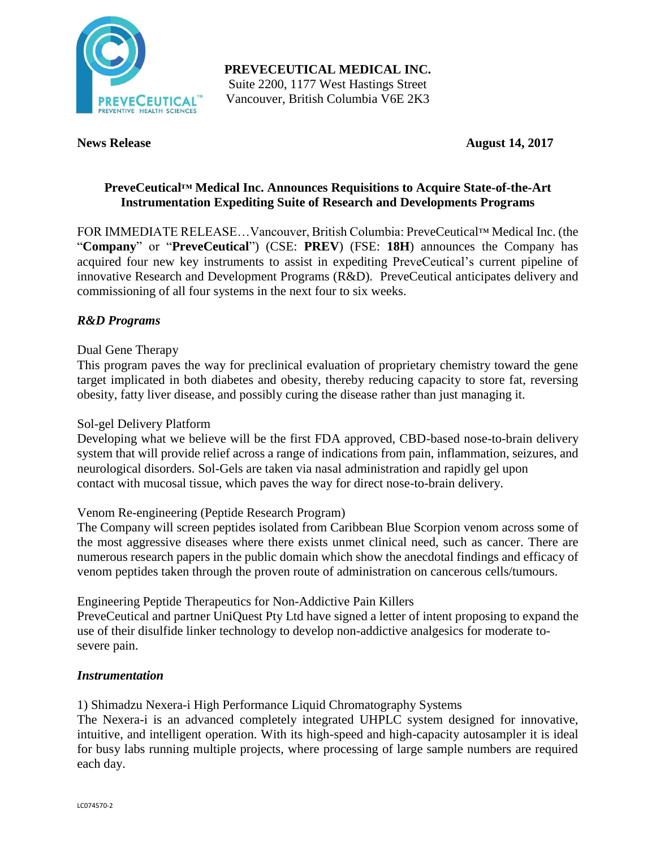

**PREVECEUTICAL MEDICAL INC.** Suite 2200, 1177 West Hastings Street Vancouver, British Columbia V6E 2K3

**News Release August 14, 2017** 

## **PreveCeutical™ Medical Inc. Announces Requisitions to Acquire State-of-the-Art Instrumentation Expediting Suite of Research and Developments Programs**

FOR IMMEDIATE RELEASE…Vancouver, British Columbia: PreveCeutical™ Medical Inc. (the "**Company**" or "**PreveCeutical**") (CSE: **PREV**) (FSE: **18H**) announces the Company has acquired four new key instruments to assist in expediting PreveCeutical's current pipeline of innovative Research and Development Programs (R&D). PreveCeutical anticipates delivery and commissioning of all four systems in the next four to six weeks.

## *R&D Programs*

### Dual Gene Therapy

This program paves the way for preclinical evaluation of proprietary chemistry toward the gene target implicated in both diabetes and obesity, thereby reducing capacity to store fat, reversing obesity, fatty liver disease, and possibly curing the disease rather than just managing it.

### Sol-gel Delivery Platform

Developing what we believe will be the first FDA approved, CBD-based nose-to-brain delivery system that will provide relief across a range of indications from pain, inflammation, seizures, and neurological disorders. Sol-Gels are taken via nasal administration and rapidly gel upon contact with mucosal tissue, which paves the way for direct nose-to-brain delivery.

### Venom Re-engineering (Peptide Research Program)

The Company will screen peptides isolated from Caribbean Blue Scorpion venom across some of the most aggressive diseases where there exists unmet clinical need, such as cancer. There are numerous research papers in the public domain which show the anecdotal findings and efficacy of venom peptides taken through the proven route of administration on cancerous cells/tumours.

Engineering Peptide Therapeutics for Non-Addictive Pain Killers

PreveCeutical and partner UniQuest Pty Ltd have signed a letter of intent proposing to expand the use of their disulfide linker technology to develop non-addictive analgesics for moderate tosevere pain.

### *Instrumentation*

1) Shimadzu Nexera-i High Performance Liquid Chromatography Systems

The Nexera-i is an advanced completely integrated UHPLC system designed for innovative, intuitive, and intelligent operation. With its high-speed and high-capacity autosampler it is ideal for busy labs running multiple projects, where processing of large sample numbers are required each day.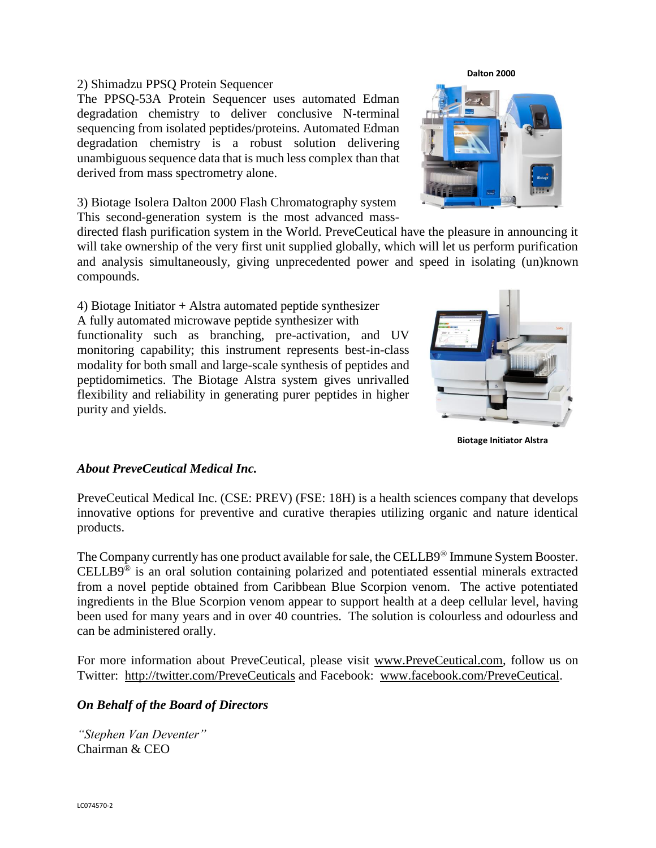# LC074570-2

### 2) Shimadzu PPSQ Protein Sequencer

The PPSQ-53A Protein Sequencer uses automated Edman degradation chemistry to deliver conclusive N-terminal sequencing from isolated peptides/proteins. Automated Edman degradation chemistry is a robust solution delivering unambiguous sequence data that is much less complex than that derived from mass spectrometry alone.

3) Biotage Isolera Dalton 2000 Flash Chromatography system This second-generation system is the most advanced mass-

directed flash purification system in the World. PreveCeutical have the pleasure in announcing it will take ownership of the very first unit supplied globally, which will let us perform purification and analysis simultaneously, giving unprecedented power and speed in isolating (un)known compounds.

4) Biotage Initiator + Alstra automated peptide synthesizer A fully automated microwave peptide synthesizer with functionality such as branching, pre-activation, and UV monitoring capability; this instrument represents best-in-class modality for both small and large-scale synthesis of peptides and peptidomimetics. The Biotage Alstra system gives unrivalled flexibility and reliability in generating purer peptides in higher purity and yields.

## *About PreveCeutical Medical Inc.*

PreveCeutical Medical Inc. (CSE: PREV) (FSE: 18H) is a health sciences company that develops innovative options for preventive and curative therapies utilizing organic and nature identical products.

The Company currently has one product available for sale, the CELLB9<sup>®</sup> Immune System Booster. CELLB9® is an oral solution containing polarized and potentiated essential minerals extracted from a novel peptide obtained from Caribbean Blue Scorpion venom. The active potentiated ingredients in the Blue Scorpion venom appear to support health at a deep cellular level, having been used for many years and in over 40 countries. The solution is colourless and odourless and can be administered orally.

For more information about PreveCeutical, please visit www.PreveCeutical.com, follow us on Twitter: http://twitter.com/PreveCeuticals and Facebook: www.facebook.com/PreveCeutical.

## *On Behalf of the Board of Directors*

*"Stephen Van Deventer"* Chairman & CEO